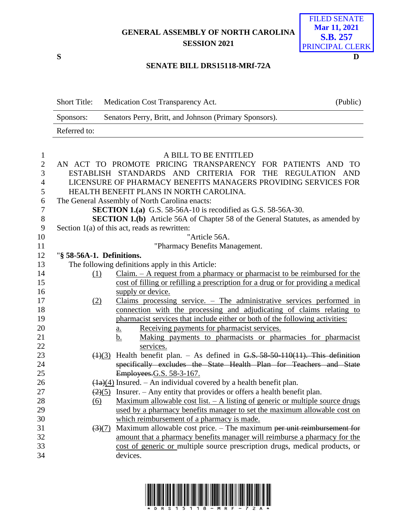## **GENERAL ASSEMBLY OF NORTH CAROLINA SESSION 2021**



## **SENATE BILL DRS15118-MRf-72A**

Short Title: Medication Cost Transparency Act. (Public) Sponsors: Senators Perry, Britt, and Johnson (Primary Sponsors). Referred to:

| $\mathbf{1}$   | A BILL TO BE ENTITLED                                                                             |
|----------------|---------------------------------------------------------------------------------------------------|
| $\overline{2}$ | AN ACT TO PROMOTE PRICING TRANSPARENCY FOR PATIENTS AND TO                                        |
| 3              | ESTABLISH STANDARDS AND CRITERIA FOR THE REGULATION AND                                           |
| $\overline{4}$ | LICENSURE OF PHARMACY BENEFITS MANAGERS PROVIDING SERVICES FOR                                    |
| 5              | HEALTH BENEFIT PLANS IN NORTH CAROLINA.                                                           |
| 6              | The General Assembly of North Carolina enacts:                                                    |
| $\tau$         | <b>SECTION 1.(a)</b> G.S. 58-56A-10 is recodified as G.S. 58-56A-30.                              |
| $8\,$          | <b>SECTION 1.(b)</b> Article 56A of Chapter 58 of the General Statutes, as amended by             |
| $\mathbf{9}$   | Section $1(a)$ of this act, reads as rewritten:                                                   |
| 10             | "Article 56A.                                                                                     |
| 11             | "Pharmacy Benefits Management.                                                                    |
| 12             | "§ 58-56A-1. Definitions.                                                                         |
| 13             | The following definitions apply in this Article:                                                  |
| 14             | $Claim. - A request from a pharmacy or pharmacist to be reimburred for the$<br>(1)                |
| 15             | cost of filling or refilling a prescription for a drug or for providing a medical                 |
| 16             | supply or device.                                                                                 |
| 17             | Claims processing service. $-$ The administrative services performed in<br>(2)                    |
| 18             | connection with the processing and adjudicating of claims relating to                             |
| 19             | pharmacist services that include either or both of the following activities:                      |
| 20             | Receiving payments for pharmacist services.<br>$\underline{a}$ .                                  |
| 21<br>22       | Making payments to pharmacists or pharmacies for pharmacist<br>b.<br>services.                    |
| 23             | $(1)(3)$ Health benefit plan. – As defined in G.S. 58-50-110(11). This definition                 |
| 24             | specifically excludes the State Health Plan for Teachers and State                                |
| 25             | Employees.G.S. 58-3-167.                                                                          |
| 26             | $\left(\frac{1}{a}\right)(4)$ Insured. – An individual covered by a health benefit plan.          |
| 27             | $\left(\frac{2}{5}\right)$ Insurer. – Any entity that provides or offers a health benefit plan.   |
| 28             | Maximum allowable cost list. $-$ A listing of generic or multiple source drugs<br>(6)             |
| 29             | used by a pharmacy benefits manager to set the maximum allowable cost on                          |
| 30             | which reimbursement of a pharmacy is made.                                                        |
| 31             | $\left(\frac{3}{7}\right)$ Maximum allowable cost price. – The maximum per unit reimbursement for |
| 32             | amount that a pharmacy benefits manager will reimburse a pharmacy for the                         |
| 33             | cost of generic or multiple source prescription drugs, medical products, or                       |
| 34             | devices.                                                                                          |
|                |                                                                                                   |

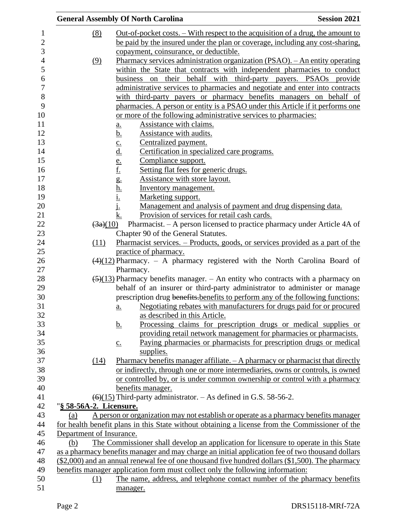|                     |                                  | <b>General Assembly Of North Carolina</b>                                                                                                                                | <b>Session 2021</b> |
|---------------------|----------------------------------|--------------------------------------------------------------------------------------------------------------------------------------------------------------------------|---------------------|
| 1<br>$\overline{2}$ | (8)                              | <u>Out-of-pocket costs. – With respect to the acquisition of a drug, the amount to</u><br>be paid by the insured under the plan or coverage, including any cost-sharing, |                     |
| 3                   |                                  | copayment, coinsurance, or deductible.                                                                                                                                   |                     |
| $\overline{4}$      | (9)                              | Pharmacy services administration organization (PSAO). - An entity operating                                                                                              |                     |
| 5                   |                                  | within the State that contracts with independent pharmacies to conduct                                                                                                   |                     |
| 6                   |                                  | business on their behalf with third-party payers. PSAOs provide                                                                                                          |                     |
| $\boldsymbol{7}$    |                                  | administrative services to pharmacies and negotiate and enter into contracts                                                                                             |                     |
| 8                   |                                  | with third-party payers or pharmacy benefits managers on behalf of                                                                                                       |                     |
| 9                   |                                  | pharmacies. A person or entity is a PSAO under this Article if it performs one                                                                                           |                     |
| 10                  |                                  | or more of the following administrative services to pharmacies:                                                                                                          |                     |
| 11                  |                                  | Assistance with claims.<br>a.                                                                                                                                            |                     |
| 12                  |                                  | Assistance with audits.<br><u>b.</u>                                                                                                                                     |                     |
| 13                  |                                  | Centralized payment.                                                                                                                                                     |                     |
| 14                  |                                  | Certification in specialized care programs.                                                                                                                              |                     |
| 15                  |                                  | Compliance support.                                                                                                                                                      |                     |
| 16                  |                                  | Setting flat fees for generic drugs.                                                                                                                                     |                     |
| 17                  |                                  | $\underbrace{c.} \underline{d.} \underline{e.} \underline{f.} \underline{g.} \underline{h.} \underline{i.} \underline{i.}$<br>Assistance with store layout.              |                     |
| 18                  |                                  | Inventory management.                                                                                                                                                    |                     |
| 19                  |                                  | Marketing support.                                                                                                                                                       |                     |
| 20                  |                                  | Management and analysis of payment and drug dispensing data.                                                                                                             |                     |
| 21                  |                                  | k.<br>Provision of services for retail cash cards.                                                                                                                       |                     |
| 22<br>23            | $\left(3a\right)\left(10\right)$ | Pharmacist. - A person licensed to practice pharmacy under Article 4A of                                                                                                 |                     |
| 24                  | (11)                             | Chapter 90 of the General Statutes.<br>Pharmacist services. – Products, goods, or services provided as a part of the                                                     |                     |
| 25                  |                                  | practice of pharmacy.                                                                                                                                                    |                     |
| 26                  |                                  | $\left(\frac{4}{12}\right)$ Pharmacy. - A pharmacy registered with the North Carolina Board of                                                                           |                     |
| 27                  |                                  | Pharmacy.                                                                                                                                                                |                     |
| 28                  |                                  | $\left(\frac{5}{13}\right)$ Pharmacy benefits manager. – An entity who contracts with a pharmacy on                                                                      |                     |
| 29                  |                                  | behalf of an insurer or third-party administrator to administer or manage                                                                                                |                     |
| 30                  |                                  | prescription drug benefits-benefits to perform any of the following functions:                                                                                           |                     |
| 31                  |                                  | a. Negotiating rebates with manufacturers for drugs paid for or procured                                                                                                 |                     |
| 32                  |                                  | as described in this Article.                                                                                                                                            |                     |
| 33                  |                                  | Processing claims for prescription drugs or medical supplies or<br><u>b.</u>                                                                                             |                     |
| 34                  |                                  | providing retail network management for pharmacies or pharmacists.                                                                                                       |                     |
| 35                  |                                  | Paying pharmacies or pharmacists for prescription drugs or medical<br>$\underline{c}$ .                                                                                  |                     |
| 36                  |                                  | supplies.                                                                                                                                                                |                     |
| 37                  | (14)                             | Pharmacy benefits manager affiliate. $-A$ pharmacy or pharmacist that directly                                                                                           |                     |
| 38                  |                                  | or indirectly, through one or more intermediaries, owns or controls, is owned                                                                                            |                     |
| 39                  |                                  | or controlled by, or is under common ownership or control with a pharmacy                                                                                                |                     |
| 40                  |                                  | benefits manager.                                                                                                                                                        |                     |
| 41                  |                                  | $(6)(15)$ Third-party administrator. $-$ As defined in G.S. 58-56-2.                                                                                                     |                     |
| 42                  | "§ 58-56A-2. Licensure.          |                                                                                                                                                                          |                     |
| 43                  | (a)                              | A person or organization may not establish or operate as a pharmacy benefits manager                                                                                     |                     |
| 44<br>45            | Department of Insurance.         | for health benefit plans in this State without obtaining a license from the Commissioner of the                                                                          |                     |
| 46                  | (b)                              | The Commissioner shall develop an application for licensure to operate in this State                                                                                     |                     |
| 47                  |                                  | as a pharmacy benefits manager and may charge an initial application fee of two thousand dollars                                                                         |                     |
| 48                  |                                  | (\$2,000) and an annual renewal fee of one thousand five hundred dollars (\$1,500). The pharmacy                                                                         |                     |
| 49                  |                                  | benefits manager application form must collect only the following information:                                                                                           |                     |
| 50                  | $\Omega$                         | The name, address, and telephone contact number of the pharmacy benefits                                                                                                 |                     |
| 51                  |                                  | manager.                                                                                                                                                                 |                     |
|                     |                                  |                                                                                                                                                                          |                     |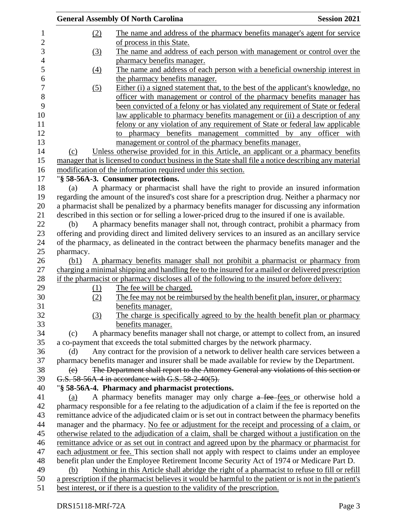|           | <b>General Assembly Of North Carolina</b>                                                                                                                                                      | <b>Session 2021</b> |
|-----------|------------------------------------------------------------------------------------------------------------------------------------------------------------------------------------------------|---------------------|
| (2)       | The name and address of the pharmacy benefits manager's agent for service                                                                                                                      |                     |
|           | of process in this State.                                                                                                                                                                      |                     |
| (3)       | The name and address of each person with management or control over the                                                                                                                        |                     |
|           | pharmacy benefits manager.                                                                                                                                                                     |                     |
| (4)       | The name and address of each person with a beneficial ownership interest in                                                                                                                    |                     |
|           | the pharmacy benefits manager.                                                                                                                                                                 |                     |
| (5)       | Either (i) a signed statement that, to the best of the applicant's knowledge, no                                                                                                               |                     |
|           | officer with management or control of the pharmacy benefits manager has                                                                                                                        |                     |
|           | been convicted of a felony or has violated any requirement of State or federal                                                                                                                 |                     |
|           | law applicable to pharmacy benefits management or (ii) a description of any                                                                                                                    |                     |
|           | felony or any violation of any requirement of State or federal law applicable                                                                                                                  |                     |
|           | to pharmacy benefits management committed by any officer with                                                                                                                                  |                     |
|           | management or control of the pharmacy benefits manager.                                                                                                                                        |                     |
| (c)       | Unless otherwise provided for in this Article, an applicant or a pharmacy benefits                                                                                                             |                     |
|           | manager that is licensed to conduct business in the State shall file a notice describing any material                                                                                          |                     |
|           | modification of the information required under this section.                                                                                                                                   |                     |
|           | "§ 58-56A-3. Consumer protections.                                                                                                                                                             |                     |
| (a)       | A pharmacy or pharmacist shall have the right to provide an insured information                                                                                                                |                     |
|           | regarding the amount of the insured's cost share for a prescription drug. Neither a pharmacy nor                                                                                               |                     |
|           | a pharmacist shall be penalized by a pharmacy benefits manager for discussing any information                                                                                                  |                     |
|           | described in this section or for selling a lower-priced drug to the insured if one is available.                                                                                               |                     |
| (b)       | A pharmacy benefits manager shall not, through contract, prohibit a pharmacy from                                                                                                              |                     |
|           | offering and providing direct and limited delivery services to an insured as an ancillary service                                                                                              |                     |
|           | of the pharmacy, as delineated in the contract between the pharmacy benefits manager and the                                                                                                   |                     |
| pharmacy. |                                                                                                                                                                                                |                     |
| (b1)      | A pharmacy benefits manager shall not prohibit a pharmacist or pharmacy from                                                                                                                   |                     |
|           | charging a minimal shipping and handling fee to the insured for a mailed or delivered prescription                                                                                             |                     |
|           | if the pharmacist or pharmacy discloses all of the following to the insured before delivery:                                                                                                   |                     |
| (1)       | The fee will be charged.                                                                                                                                                                       |                     |
| (2)       | The fee may not be reimbursed by the health benefit plan, insurer, or pharmacy                                                                                                                 |                     |
|           | benefits manager.                                                                                                                                                                              |                     |
| (3)       | The charge is specifically agreed to by the health benefit plan or pharmacy                                                                                                                    |                     |
|           | benefits manager.                                                                                                                                                                              |                     |
| (c)       | A pharmacy benefits manager shall not charge, or attempt to collect from, an insured                                                                                                           |                     |
|           | a co-payment that exceeds the total submitted charges by the network pharmacy.                                                                                                                 |                     |
| (d)       | Any contract for the provision of a network to deliver health care services between a                                                                                                          |                     |
|           | pharmacy benefits manager and insurer shall be made available for review by the Department.                                                                                                    |                     |
| (e)       | The Department shall report to the Attorney General any violations of this section or                                                                                                          |                     |
|           | G.S. 58-56A-4 in accordance with G.S. 58-2-40(5).                                                                                                                                              |                     |
|           | "§ 58-56A-4. Pharmacy and pharmacist protections.                                                                                                                                              |                     |
| (a)       | A pharmacy benefits manager may only charge a fee fees or otherwise hold a                                                                                                                     |                     |
|           | pharmacy responsible for a fee relating to the adjudication of a claim if the fee is reported on the                                                                                           |                     |
|           | remittance advice of the adjudicated claim or is set out in contract between the pharmacy benefits                                                                                             |                     |
|           | manager and the pharmacy. No fee or adjustment for the receipt and processing of a claim, or                                                                                                   |                     |
|           |                                                                                                                                                                                                |                     |
|           | otherwise related to the adjudication of a claim, shall be charged without a justification on the                                                                                              |                     |
|           | remittance advice or as set out in contract and agreed upon by the pharmacy or pharmacist for<br>each adjustment or fee. This section shall not apply with respect to claims under an employee |                     |
|           |                                                                                                                                                                                                |                     |
|           | benefit plan under the Employee Retirement Income Security Act of 1974 or Medicare Part D.                                                                                                     |                     |
| (b)       | Nothing in this Article shall abridge the right of a pharmacist to refuse to fill or refill                                                                                                    |                     |
|           | a prescription if the pharmacist believes it would be harmful to the patient or is not in the patient's                                                                                        |                     |
|           | best interest, or if there is a question to the validity of the prescription.                                                                                                                  |                     |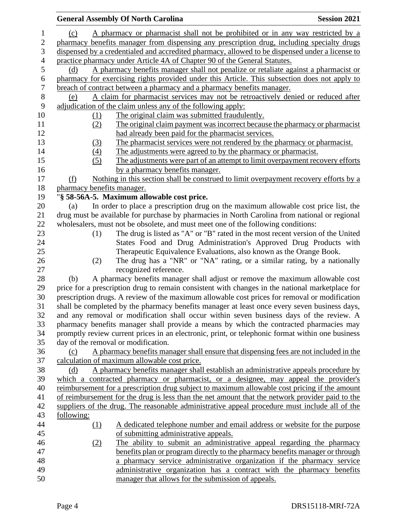|                            | <b>General Assembly Of North Carolina</b>                                                                                                                                         | <b>Session 2021</b> |
|----------------------------|-----------------------------------------------------------------------------------------------------------------------------------------------------------------------------------|---------------------|
| (c)                        | A pharmacy or pharmacist shall not be prohibited or in any way restricted by a                                                                                                    |                     |
|                            | pharmacy benefits manager from dispensing any prescription drug, including specialty drugs                                                                                        |                     |
|                            | dispensed by a credentialed and accredited pharmacy, allowed to be dispensed under a license to                                                                                   |                     |
|                            | practice pharmacy under Article 4A of Chapter 90 of the General Statutes.                                                                                                         |                     |
| (d)                        | A pharmacy benefits manager shall not penalize or retaliate against a pharmacist or                                                                                               |                     |
|                            | pharmacy for exercising rights provided under this Article. This subsection does not apply to                                                                                     |                     |
|                            | breach of contract between a pharmacy and a pharmacy benefits manager.                                                                                                            |                     |
| (e)                        | A claim for pharmacist services may not be retroactively denied or reduced after                                                                                                  |                     |
|                            | adjudication of the claim unless any of the following apply:                                                                                                                      |                     |
| (1)                        | The original claim was submitted fraudulently.                                                                                                                                    |                     |
| (2)                        | The original claim payment was incorrect because the pharmacy or pharmacist                                                                                                       |                     |
|                            | had already been paid for the pharmacist services.                                                                                                                                |                     |
| (3)                        | The pharmacist services were not rendered by the pharmacy or pharmacist.                                                                                                          |                     |
| (4)                        | The adjustments were agreed to by the pharmacy or pharmacist.                                                                                                                     |                     |
| (5)                        | The adjustments were part of an attempt to limit overpayment recovery efforts                                                                                                     |                     |
|                            | by a pharmacy benefits manager.                                                                                                                                                   |                     |
| (f)                        | Nothing in this section shall be construed to limit overpayment recovery efforts by a                                                                                             |                     |
| pharmacy benefits manager. |                                                                                                                                                                                   |                     |
|                            | "§ 58-56A-5. Maximum allowable cost price.                                                                                                                                        |                     |
| (a)                        | In order to place a prescription drug on the maximum allowable cost price list, the                                                                                               |                     |
|                            | drug must be available for purchase by pharmacies in North Carolina from national or regional                                                                                     |                     |
|                            | wholesalers, must not be obsolete, and must meet one of the following conditions:                                                                                                 |                     |
| (1)                        | The drug is listed as "A" or "B" rated in the most recent version of the United                                                                                                   |                     |
|                            | States Food and Drug Administration's Approved Drug Products with                                                                                                                 |                     |
|                            | Therapeutic Equivalence Evaluations, also known as the Orange Book.                                                                                                               |                     |
| (2)                        | The drug has a "NR" or "NA" rating, or a similar rating, by a nationally                                                                                                          |                     |
|                            | recognized reference.                                                                                                                                                             |                     |
| (b)                        | A pharmacy benefits manager shall adjust or remove the maximum allowable cost                                                                                                     |                     |
|                            | price for a prescription drug to remain consistent with changes in the national marketplace for                                                                                   |                     |
|                            | prescription drugs. A review of the maximum allowable cost prices for removal or modification                                                                                     |                     |
|                            | shall be completed by the pharmacy benefits manager at least once every seven business days,                                                                                      |                     |
|                            | and any removal or modification shall occur within seven business days of the review. A<br>pharmacy benefits manager shall provide a means by which the contracted pharmacies may |                     |
|                            | promptly review current prices in an electronic, print, or telephonic format within one business                                                                                  |                     |
|                            | day of the removal or modification.                                                                                                                                               |                     |
| (c)                        | A pharmacy benefits manager shall ensure that dispensing fees are not included in the                                                                                             |                     |
|                            | calculation of maximum allowable cost price.                                                                                                                                      |                     |
| (d)                        | A pharmacy benefits manager shall establish an administrative appeals procedure by                                                                                                |                     |
|                            | which a contracted pharmacy or pharmacist, or a designee, may appeal the provider's                                                                                               |                     |
|                            | reimbursement for a prescription drug subject to maximum allowable cost pricing if the amount                                                                                     |                     |
|                            | of reimbursement for the drug is less than the net amount that the network provider paid to the                                                                                   |                     |
|                            | suppliers of the drug. The reasonable administrative appeal procedure must include all of the                                                                                     |                     |
| following:                 |                                                                                                                                                                                   |                     |
| $\Omega$                   | A dedicated telephone number and email address or website for the purpose                                                                                                         |                     |
|                            | of submitting administrative appeals.                                                                                                                                             |                     |
| <u>(2)</u>                 | The ability to submit an administrative appeal regarding the pharmacy                                                                                                             |                     |
|                            | benefits plan or program directly to the pharmacy benefits manager or through                                                                                                     |                     |
|                            | a pharmacy service administrative organization if the pharmacy service                                                                                                            |                     |
|                            | administrative organization has a contract with the pharmacy benefits                                                                                                             |                     |
|                            | manager that allows for the submission of appeals.                                                                                                                                |                     |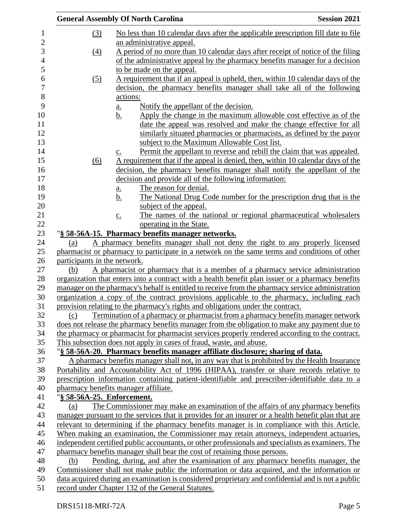|                              | <b>General Assembly Of North Carolina</b>                                                                                                                           | <b>Session 2021</b> |
|------------------------------|---------------------------------------------------------------------------------------------------------------------------------------------------------------------|---------------------|
| <u>(3)</u>                   | No less than 10 calendar days after the applicable prescription fill date to file                                                                                   |                     |
|                              | an administrative appeal.                                                                                                                                           |                     |
| (4)                          | A period of no more than 10 calendar days after receipt of notice of the filing                                                                                     |                     |
|                              | of the administrative appeal by the pharmacy benefits manager for a decision                                                                                        |                     |
|                              | to be made on the appeal.                                                                                                                                           |                     |
| (5)                          | A requirement that if an appeal is upheld, then, within 10 calendar days of the                                                                                     |                     |
|                              | decision, the pharmacy benefits manager shall take all of the following                                                                                             |                     |
|                              | actions:                                                                                                                                                            |                     |
|                              | Notify the appellant of the decision.<br><u>a.</u>                                                                                                                  |                     |
|                              | Apply the change in the maximum allowable cost effective as of the<br><u>b.</u>                                                                                     |                     |
|                              | date the appeal was resolved and make the change effective for all                                                                                                  |                     |
|                              | similarly situated pharmacies or pharmacists, as defined by the payor                                                                                               |                     |
|                              | subject to the Maximum Allowable Cost list.                                                                                                                         |                     |
|                              | Permit the appellant to reverse and rebill the claim that was appealed.<br>$\underline{c}$ .                                                                        |                     |
| (6)                          | A requirement that if the appeal is denied, then, within 10 calendar days of the                                                                                    |                     |
|                              | decision, the pharmacy benefits manager shall notify the appellant of the                                                                                           |                     |
|                              | decision and provide all of the following information:                                                                                                              |                     |
|                              | The reason for denial.<br>$\underline{\mathbf{a}}$ .                                                                                                                |                     |
|                              | The National Drug Code number for the prescription drug that is the<br>b.                                                                                           |                     |
|                              | subject of the appeal.                                                                                                                                              |                     |
|                              | The names of the national or regional pharmaceutical wholesalers<br>$\underline{c}$ .                                                                               |                     |
|                              | operating in the State.                                                                                                                                             |                     |
|                              | "§ 58-56A-15. Pharmacy benefits manager networks.                                                                                                                   |                     |
| (a)                          | A pharmacy benefits manager shall not deny the right to any properly licensed                                                                                       |                     |
|                              | pharmacist or pharmacy to participate in a network on the same terms and conditions of other                                                                        |                     |
| participants in the network. |                                                                                                                                                                     |                     |
| (b)                          | A pharmacist or pharmacy that is a member of a pharmacy service administration                                                                                      |                     |
|                              | organization that enters into a contract with a health benefit plan issuer or a pharmacy benefits                                                                   |                     |
|                              | manager on the pharmacy's behalf is entitled to receive from the pharmacy service administration                                                                    |                     |
|                              | organization a copy of the contract provisions applicable to the pharmacy, including each                                                                           |                     |
|                              | provision relating to the pharmacy's rights and obligations under the contract.<br>Termination of a pharmacy or pharmacist from a pharmacy benefits manager network |                     |
| (c)                          | does not release the pharmacy benefits manager from the obligation to make any payment due to                                                                       |                     |
|                              | the pharmacy or pharmacist for pharmacist services properly rendered according to the contract.                                                                     |                     |
|                              | This subsection does not apply in cases of fraud, waste, and abuse.                                                                                                 |                     |
|                              | "§ 58-56A-20. Pharmacy benefits manager affiliate disclosure; sharing of data.                                                                                      |                     |
|                              | A pharmacy benefits manager shall not, in any way that is prohibited by the Health Insurance                                                                        |                     |
|                              | Portability and Accountability Act of 1996 (HIPAA), transfer or share records relative to                                                                           |                     |
|                              | prescription information containing patient-identifiable and prescriber-identifiable data to a                                                                      |                     |
|                              | pharmacy benefits manager affiliate.                                                                                                                                |                     |
| "§ 58-56A-25. Enforcement.   |                                                                                                                                                                     |                     |
| (a)                          | The Commissioner may make an examination of the affairs of any pharmacy benefits                                                                                    |                     |
|                              | manager pursuant to the services that it provides for an insurer or a health benefit plan that are                                                                  |                     |
|                              | relevant to determining if the pharmacy benefits manager is in compliance with this Article.                                                                        |                     |
|                              | When making an examination, the Commissioner may retain attorneys, independent actuaries,                                                                           |                     |
|                              | independent certified public accountants, or other professionals and specialists as examiners. The                                                                  |                     |
|                              | pharmacy benefits manager shall bear the cost of retaining those persons.                                                                                           |                     |
| (b)                          | Pending, during, and after the examination of any pharmacy benefits manager, the                                                                                    |                     |
|                              | Commissioner shall not make public the information or data acquired, and the information or                                                                         |                     |
|                              | data acquired during an examination is considered proprietary and confidential and is not a public                                                                  |                     |
|                              | record under Chapter 132 of the General Statutes.                                                                                                                   |                     |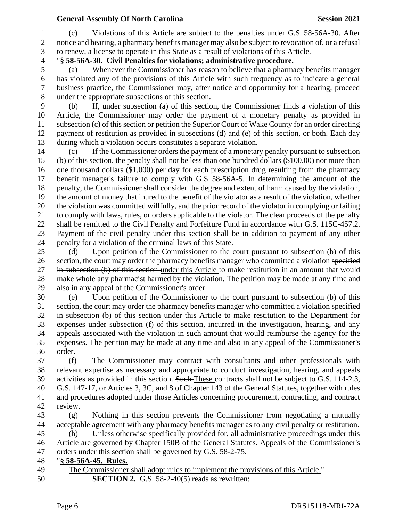|                | <b>General Assembly Of North Carolina</b>                                                                                                                                                       | <b>Session 2021</b> |
|----------------|-------------------------------------------------------------------------------------------------------------------------------------------------------------------------------------------------|---------------------|
| 1              | Violations of this Article are subject to the penalties under G.S. 58-56A-30. After<br>(c)                                                                                                      |                     |
| $\overline{c}$ | notice and hearing, a pharmacy benefits manager may also be subject to revocation of, or a refusal                                                                                              |                     |
| 3              | to renew, a license to operate in this State as a result of violations of this Article.                                                                                                         |                     |
| $\overline{4}$ | "§ 58-56A-30. Civil Penalties for violations; administrative procedure.                                                                                                                         |                     |
| 5              | Whenever the Commissioner has reason to believe that a pharmacy benefits manager<br>(a)                                                                                                         |                     |
| 6              | has violated any of the provisions of this Article with such frequency as to indicate a general                                                                                                 |                     |
| $\tau$         | business practice, the Commissioner may, after notice and opportunity for a hearing, proceed                                                                                                    |                     |
| $8\,$          | under the appropriate subsections of this section.                                                                                                                                              |                     |
| 9              | If, under subsection (a) of this section, the Commissioner finds a violation of this<br>(b)                                                                                                     |                     |
| 10             | Article, the Commissioner may order the payment of a monetary penalty as provided in                                                                                                            |                     |
| 11             | subsection (e) of this section or petition the Superior Court of Wake County for an order directing                                                                                             |                     |
| 12             | payment of restitution as provided in subsections (d) and (e) of this section, or both. Each day                                                                                                |                     |
| 13             | during which a violation occurs constitutes a separate violation.                                                                                                                               |                     |
| 14             | If the Commissioner orders the payment of a monetary penalty pursuant to subsection<br>(c)                                                                                                      |                     |
| 15             | (b) of this section, the penalty shall not be less than one hundred dollars (\$100.00) nor more than                                                                                            |                     |
| 16             | one thousand dollars $(\$1,000)$ per day for each prescription drug resulting from the pharmacy                                                                                                 |                     |
| 17             | benefit manager's failure to comply with G.S. 58-56A-5. In determining the amount of the                                                                                                        |                     |
| 18             | penalty, the Commissioner shall consider the degree and extent of harm caused by the violation,                                                                                                 |                     |
| 19             | the amount of money that inured to the benefit of the violator as a result of the violation, whether                                                                                            |                     |
| 20             | the violation was committed willfully, and the prior record of the violator in complying or failing                                                                                             |                     |
| 21             | to comply with laws, rules, or orders applicable to the violator. The clear proceeds of the penalty                                                                                             |                     |
| 22             | shall be remitted to the Civil Penalty and Forfeiture Fund in accordance with G.S. 115C-457.2.                                                                                                  |                     |
| 23             | Payment of the civil penalty under this section shall be in addition to payment of any other                                                                                                    |                     |
| 24             | penalty for a violation of the criminal laws of this State.                                                                                                                                     |                     |
| 25             | Upon petition of the Commissioner to the court pursuant to subsection (b) of this<br>(d)                                                                                                        |                     |
| 26             | section, the court may order the pharmacy benefits manager who committed a violation specified                                                                                                  |                     |
| 27<br>28       | in subsection (b) of this section-under this Article to make restitution in an amount that would<br>make whole any pharmacist harmed by the violation. The petition may be made at any time and |                     |
| 29             | also in any appeal of the Commissioner's order.                                                                                                                                                 |                     |
| 30             | Upon petition of the Commissioner to the court pursuant to subsection (b) of this<br>(e)                                                                                                        |                     |
| 31             | section, the court may order the pharmacy benefits manager who committed a violation specified                                                                                                  |                     |
| 32             | in subsection (b) of this section under this Article to make restitution to the Department for                                                                                                  |                     |
| 33             | expenses under subsection (f) of this section, incurred in the investigation, hearing, and any                                                                                                  |                     |
| 34             | appeals associated with the violation in such amount that would reimburse the agency for the                                                                                                    |                     |
| 35             | expenses. The petition may be made at any time and also in any appeal of the Commissioner's                                                                                                     |                     |
| 36             | order.                                                                                                                                                                                          |                     |
| 37             | (f)<br>The Commissioner may contract with consultants and other professionals with                                                                                                              |                     |
| 38             | relevant expertise as necessary and appropriate to conduct investigation, hearing, and appeals                                                                                                  |                     |
| 39             | activities as provided in this section. Such-These contracts shall not be subject to G.S. 114-2.3,                                                                                              |                     |
| 40             | G.S. 147-17, or Articles 3, 3C, and 8 of Chapter 143 of the General Statutes, together with rules                                                                                               |                     |
| 41             | and procedures adopted under those Articles concerning procurement, contracting, and contract                                                                                                   |                     |
| 42             | review.                                                                                                                                                                                         |                     |
| 43             | Nothing in this section prevents the Commissioner from negotiating a mutually<br>(g)                                                                                                            |                     |
| 44             | acceptable agreement with any pharmacy benefits manager as to any civil penalty or restitution.                                                                                                 |                     |
| 45             | Unless otherwise specifically provided for, all administrative proceedings under this<br>(h)                                                                                                    |                     |
| 46             | Article are governed by Chapter 150B of the General Statutes. Appeals of the Commissioner's                                                                                                     |                     |
| 47             | orders under this section shall be governed by G.S. 58-2-75.                                                                                                                                    |                     |
| 48             | "§ 58-56A-45. Rules.                                                                                                                                                                            |                     |
| 49             | The Commissioner shall adopt rules to implement the provisions of this Article."                                                                                                                |                     |
| 50             | <b>SECTION 2.</b> G.S. $58-2-40(5)$ reads as rewritten:                                                                                                                                         |                     |